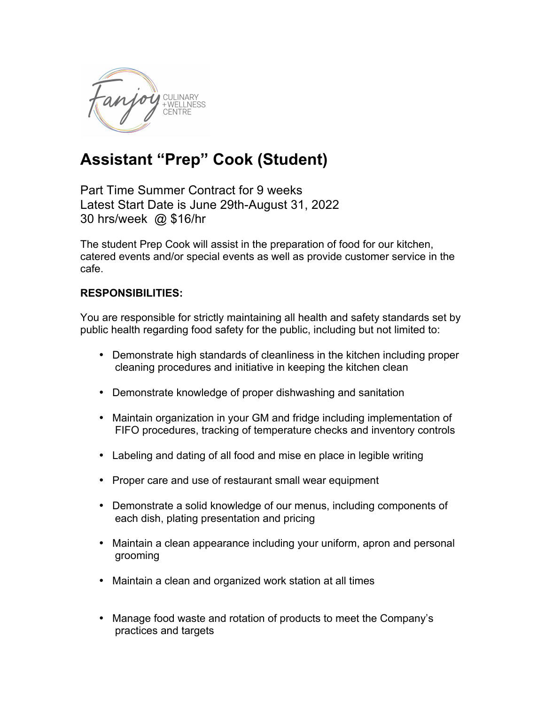

## **Assistant "Prep" Cook (Student)**

Part Time Summer Contract for 9 weeks Latest Start Date is June 29th-August 31, 2022 30 hrs/week @ \$16/hr

The student Prep Cook will assist in the preparation of food for our kitchen, catered events and/or special events as well as provide customer service in the cafe.

## **RESPONSIBILITIES:**

You are responsible for strictly maintaining all health and safety standards set by public health regarding food safety for the public, including but not limited to:

- Demonstrate high standards of cleanliness in the kitchen including proper cleaning procedures and initiative in keeping the kitchen clean
- Demonstrate knowledge of proper dishwashing and sanitation
- Maintain organization in your GM and fridge including implementation of FIFO procedures, tracking of temperature checks and inventory controls
- Labeling and dating of all food and mise en place in legible writing
- Proper care and use of restaurant small wear equipment
- Demonstrate a solid knowledge of our menus, including components of each dish, plating presentation and pricing
- Maintain a clean appearance including your uniform, apron and personal grooming
- Maintain a clean and organized work station at all times
- Manage food waste and rotation of products to meet the Company's practices and targets